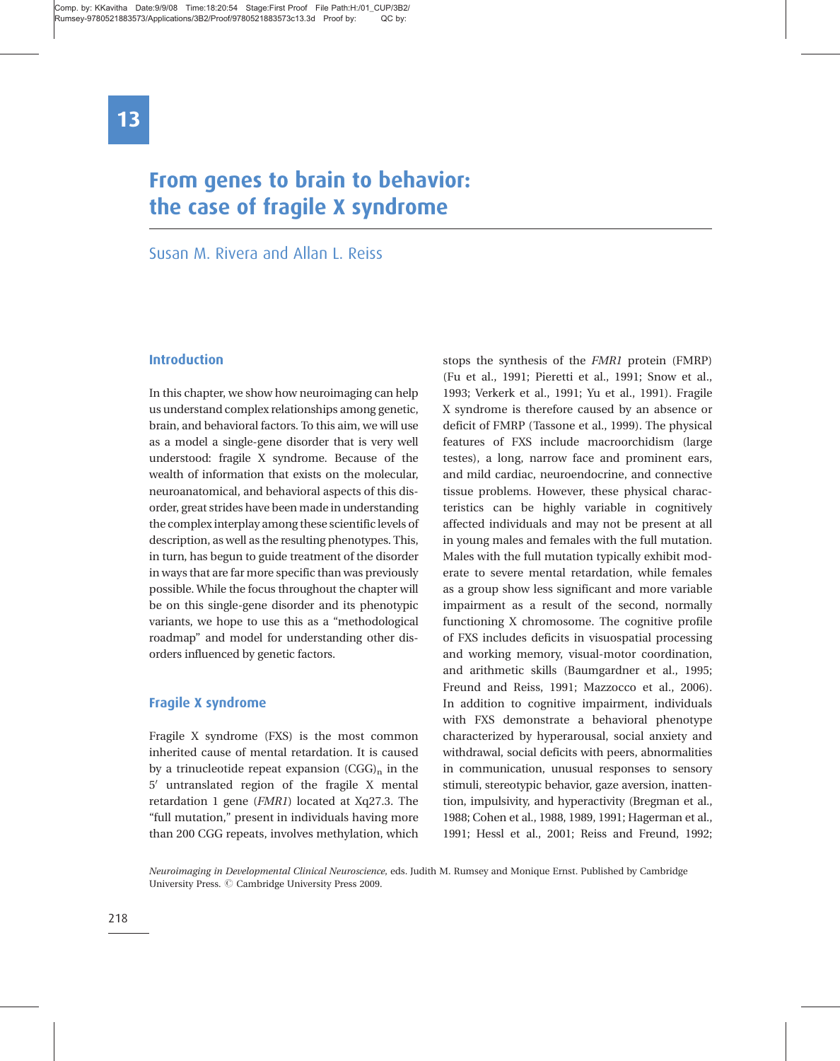# 13

# From genes to brain to behavior: the case of fragile X syndrome

Susan M. Rivera and Allan L. Reiss

## Introduction

In this chapter, we show how neuroimaging can help us understand complex relationships among genetic, brain, and behavioral factors. To this aim, we will use as a model a single-gene disorder that is very well understood: fragile X syndrome. Because of the wealth of information that exists on the molecular, neuroanatomical, and behavioral aspects of this disorder, great strides have been made in understanding the complex interplay among these scientific levels of description, as well as the resulting phenotypes. This, in turn, has begun to guide treatment of the disorder in ways that are far more specific than was previously possible. While the focus throughout the chapter will be on this single-gene disorder and its phenotypic variants, we hope to use this as a "methodological roadmap" and model for understanding other disorders influenced by genetic factors.

## Fragile X syndrome

Fragile X syndrome (FXS) is the most common inherited cause of mental retardation. It is caused by a trinucleotide repeat expansion  $(CGG)_n$  in the 5*<sup>0</sup>* untranslated region of the fragile X mental retardation 1 gene (FMR1) located at Xq27.3. The "full mutation," present in individuals having more than 200 CGG repeats, involves methylation, which stops the synthesis of the FMR1 protein (FMRP) (Fu et al., 1991; Pieretti et al., 1991; Snow et al., 1993; Verkerk et al., 1991; Yu et al., 1991). Fragile X syndrome is therefore caused by an absence or deficit of FMRP (Tassone et al., 1999). The physical features of FXS include macroorchidism (large testes), a long, narrow face and prominent ears, and mild cardiac, neuroendocrine, and connective tissue problems. However, these physical characteristics can be highly variable in cognitively affected individuals and may not be present at all in young males and females with the full mutation. Males with the full mutation typically exhibit moderate to severe mental retardation, while females as a group show less significant and more variable impairment as a result of the second, normally functioning X chromosome. The cognitive profile of FXS includes deficits in visuospatial processing and working memory, visual-motor coordination, and arithmetic skills (Baumgardner et al., 1995; Freund and Reiss, 1991; Mazzocco et al., 2006). In addition to cognitive impairment, individuals with FXS demonstrate a behavioral phenotype characterized by hyperarousal, social anxiety and withdrawal, social deficits with peers, abnormalities in communication, unusual responses to sensory stimuli, stereotypic behavior, gaze aversion, inattention, impulsivity, and hyperactivity (Bregman et al., 1988; Cohen et al., 1988, 1989, 1991; Hagerman et al., 1991; Hessl et al., 2001; Reiss and Freund, 1992;

Neuroimaging in Developmental Clinical Neuroscience, eds. Judith M. Rumsey and Monique Ernst. Published by Cambridge University Press.  $\odot$  Cambridge University Press 2009.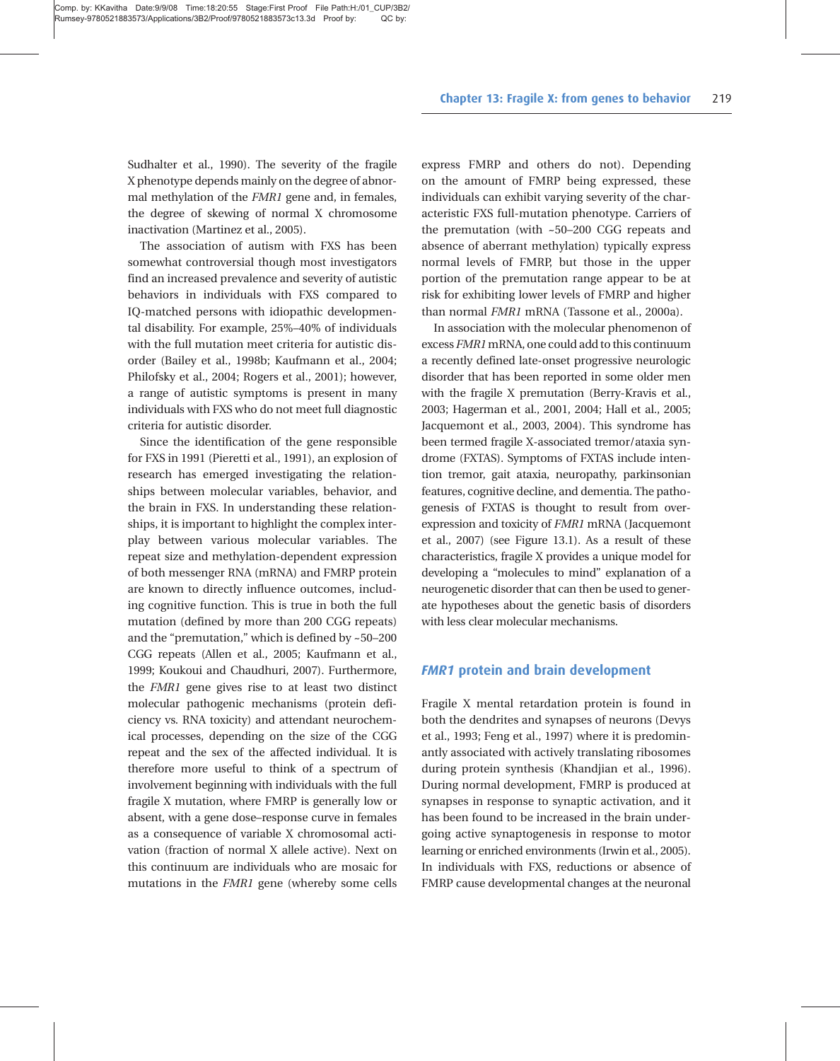Sudhalter et al., 1990). The severity of the fragile X phenotype depends mainly on the degree of abnormal methylation of the FMR1 gene and, in females, the degree of skewing of normal X chromosome inactivation (Martinez et al., 2005).

The association of autism with FXS has been somewhat controversial though most investigators find an increased prevalence and severity of autistic behaviors in individuals with FXS compared to IQ-matched persons with idiopathic developmental disability. For example, 25%–40% of individuals with the full mutation meet criteria for autistic disorder (Bailey et al., 1998b; Kaufmann et al., 2004; Philofsky et al., 2004; Rogers et al., 2001); however, a range of autistic symptoms is present in many individuals with FXS who do not meet full diagnostic criteria for autistic disorder.

Since the identification of the gene responsible for FXS in 1991 (Pieretti et al., 1991), an explosion of research has emerged investigating the relationships between molecular variables, behavior, and the brain in FXS. In understanding these relationships, it is important to highlight the complex interplay between various molecular variables. The repeat size and methylation-dependent expression of both messenger RNA (mRNA) and FMRP protein are known to directly influence outcomes, including cognitive function. This is true in both the full mutation (defined by more than 200 CGG repeats) and the "premutation," which is defined by ~50–200 CGG repeats (Allen et al., 2005; Kaufmann et al., 1999; Koukoui and Chaudhuri, 2007). Furthermore, the FMR1 gene gives rise to at least two distinct molecular pathogenic mechanisms (protein deficiency vs. RNA toxicity) and attendant neurochemical processes, depending on the size of the CGG repeat and the sex of the affected individual. It is therefore more useful to think of a spectrum of involvement beginning with individuals with the full fragile X mutation, where FMRP is generally low or absent, with a gene dose–response curve in females as a consequence of variable X chromosomal activation (fraction of normal X allele active). Next on this continuum are individuals who are mosaic for mutations in the FMR1 gene (whereby some cells

express FMRP and others do not). Depending on the amount of FMRP being expressed, these individuals can exhibit varying severity of the characteristic FXS full-mutation phenotype. Carriers of the premutation (with ~50–200 CGG repeats and absence of aberrant methylation) typically express normal levels of FMRP, but those in the upper portion of the premutation range appear to be at risk for exhibiting lower levels of FMRP and higher than normal FMR1 mRNA (Tassone et al., 2000a).

In association with the molecular phenomenon of excess FMR1mRNA, one could add to this continuum a recently defined late-onset progressive neurologic disorder that has been reported in some older men with the fragile X premutation (Berry-Kravis et al., 2003; Hagerman et al., 2001, 2004; Hall et al., 2005; Jacquemont et al., 2003, 2004). This syndrome has been termed fragile X-associated tremor/ataxia syndrome (FXTAS). Symptoms of FXTAS include intention tremor, gait ataxia, neuropathy, parkinsonian features, cognitive decline, and dementia. The pathogenesis of FXTAS is thought to result from overexpression and toxicity of FMR1 mRNA (Jacquemont et al., 2007) (see Figure 13.1). As a result of these characteristics, fragile X provides a unique model for developing a "molecules to mind" explanation of a neurogenetic disorder that can then be used to generate hypotheses about the genetic basis of disorders with less clear molecular mechanisms.

## FMR1 protein and brain development

Fragile X mental retardation protein is found in both the dendrites and synapses of neurons (Devys et al., 1993; Feng et al., 1997) where it is predominantly associated with actively translating ribosomes during protein synthesis (Khandjian et al., 1996). During normal development, FMRP is produced at synapses in response to synaptic activation, and it has been found to be increased in the brain undergoing active synaptogenesis in response to motor learning or enriched environments (Irwin et al., 2005). In individuals with FXS, reductions or absence of FMRP cause developmental changes at the neuronal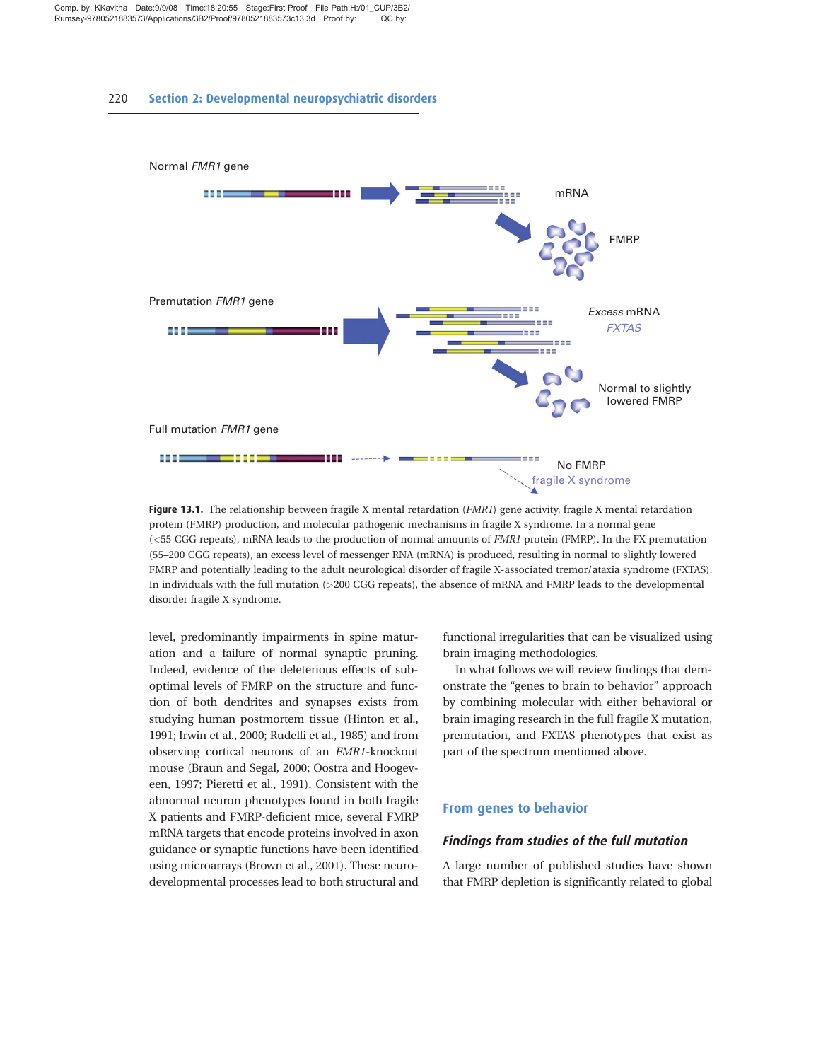## 220 Section 2: Developmental neuropsychiatric disorders



Figure 13.1. The relationship between fragile X mental retardation (FMR1) gene activity, fragile X mental retardation protein (FMRP) production, and molecular pathogenic mechanisms in fragile X syndrome. In a normal gene (<55 CGG repeats), mRNA leads to the production of normal amounts of FMR1 protein (FMRP). In the FX premutation (55–200 CGG repeats), an excess level of messenger RNA (mRNA) is produced, resulting in normal to slightly lowered FMRP and potentially leading to the adult neurological disorder of fragile X-associated tremor/ataxia syndrome (FXTAS). In individuals with the full mutation (>200 CGG repeats), the absence of mRNA and FMRP leads to the developmental disorder fragile X syndrome.

level, predominantly impairments in spine maturation and a failure of normal synaptic pruning. Indeed, evidence of the deleterious effects of suboptimal levels of FMRP on the structure and function of both dendrites and synapses exists from studying human postmortem tissue (Hinton et al., 1991; Irwin et al., 2000; Rudelli et al., 1985) and from observing cortical neurons of an FMR1-knockout mouse (Braun and Segal, 2000; Oostra and Hoogeveen, 1997; Pieretti et al., 1991). Consistent with the abnormal neuron phenotypes found in both fragile X patients and FMRP-deficient mice, several FMRP mRNA targets that encode proteins involved in axon guidance or synaptic functions have been identified using microarrays (Brown et al., 2001). These neurodevelopmental processes lead to both structural and functional irregularities that can be visualized using brain imaging methodologies.

In what follows we will review findings that demonstrate the "genes to brain to behavior" approach by combining molecular with either behavioral or brain imaging research in the full fragile X mutation, premutation, and FXTAS phenotypes that exist as part of the spectrum mentioned above.

# From genes to behavior

## Findings from studies of the full mutation

A large number of published studies have shown that FMRP depletion is significantly related to global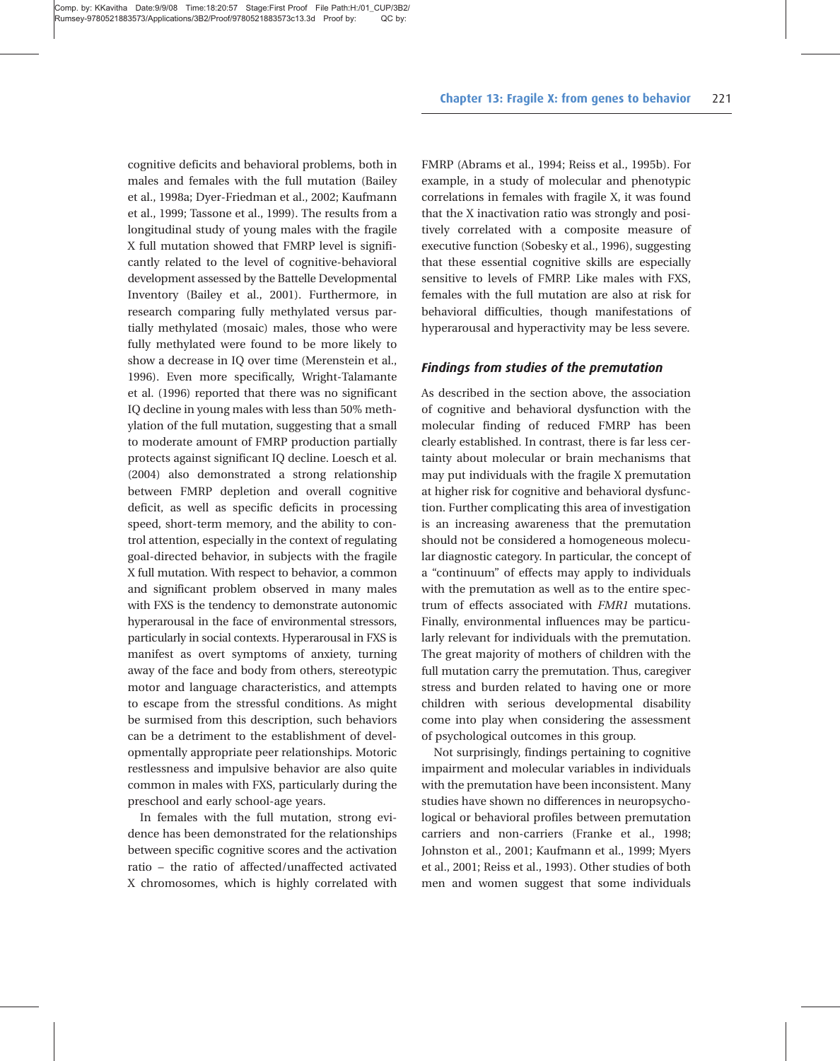cognitive deficits and behavioral problems, both in males and females with the full mutation (Bailey et al., 1998a; Dyer-Friedman et al., 2002; Kaufmann et al., 1999; Tassone et al., 1999). The results from a longitudinal study of young males with the fragile X full mutation showed that FMRP level is significantly related to the level of cognitive-behavioral development assessed by the Battelle Developmental Inventory (Bailey et al., 2001). Furthermore, in research comparing fully methylated versus partially methylated (mosaic) males, those who were fully methylated were found to be more likely to show a decrease in IQ over time (Merenstein et al., 1996). Even more specifically, Wright-Talamante et al. (1996) reported that there was no significant IQ decline in young males with less than 50% methylation of the full mutation, suggesting that a small to moderate amount of FMRP production partially protects against significant IQ decline. Loesch et al. (2004) also demonstrated a strong relationship between FMRP depletion and overall cognitive deficit, as well as specific deficits in processing speed, short-term memory, and the ability to control attention, especially in the context of regulating goal-directed behavior, in subjects with the fragile X full mutation. With respect to behavior, a common and significant problem observed in many males with FXS is the tendency to demonstrate autonomic hyperarousal in the face of environmental stressors, particularly in social contexts. Hyperarousal in FXS is manifest as overt symptoms of anxiety, turning away of the face and body from others, stereotypic motor and language characteristics, and attempts to escape from the stressful conditions. As might be surmised from this description, such behaviors can be a detriment to the establishment of developmentally appropriate peer relationships. Motoric restlessness and impulsive behavior are also quite common in males with FXS, particularly during the

In females with the full mutation, strong evidence has been demonstrated for the relationships between specific cognitive scores and the activation ratio – the ratio of affected/unaffected activated X chromosomes, which is highly correlated with

preschool and early school-age years.

Chapter 13: Fragile X: from genes to behavior 221

FMRP (Abrams et al., 1994; Reiss et al., 1995b). For example, in a study of molecular and phenotypic correlations in females with fragile X, it was found that the X inactivation ratio was strongly and positively correlated with a composite measure of executive function (Sobesky et al., 1996), suggesting that these essential cognitive skills are especially sensitive to levels of FMRP. Like males with FXS, females with the full mutation are also at risk for behavioral difficulties, though manifestations of hyperarousal and hyperactivity may be less severe.

## Findings from studies of the premutation

As described in the section above, the association of cognitive and behavioral dysfunction with the molecular finding of reduced FMRP has been clearly established. In contrast, there is far less certainty about molecular or brain mechanisms that may put individuals with the fragile X premutation at higher risk for cognitive and behavioral dysfunction. Further complicating this area of investigation is an increasing awareness that the premutation should not be considered a homogeneous molecular diagnostic category. In particular, the concept of a "continuum" of effects may apply to individuals with the premutation as well as to the entire spectrum of effects associated with FMR1 mutations. Finally, environmental influences may be particularly relevant for individuals with the premutation. The great majority of mothers of children with the full mutation carry the premutation. Thus, caregiver stress and burden related to having one or more children with serious developmental disability come into play when considering the assessment of psychological outcomes in this group.

Not surprisingly, findings pertaining to cognitive impairment and molecular variables in individuals with the premutation have been inconsistent. Many studies have shown no differences in neuropsychological or behavioral profiles between premutation carriers and non-carriers (Franke et al., 1998; Johnston et al., 2001; Kaufmann et al., 1999; Myers et al., 2001; Reiss et al., 1993). Other studies of both men and women suggest that some individuals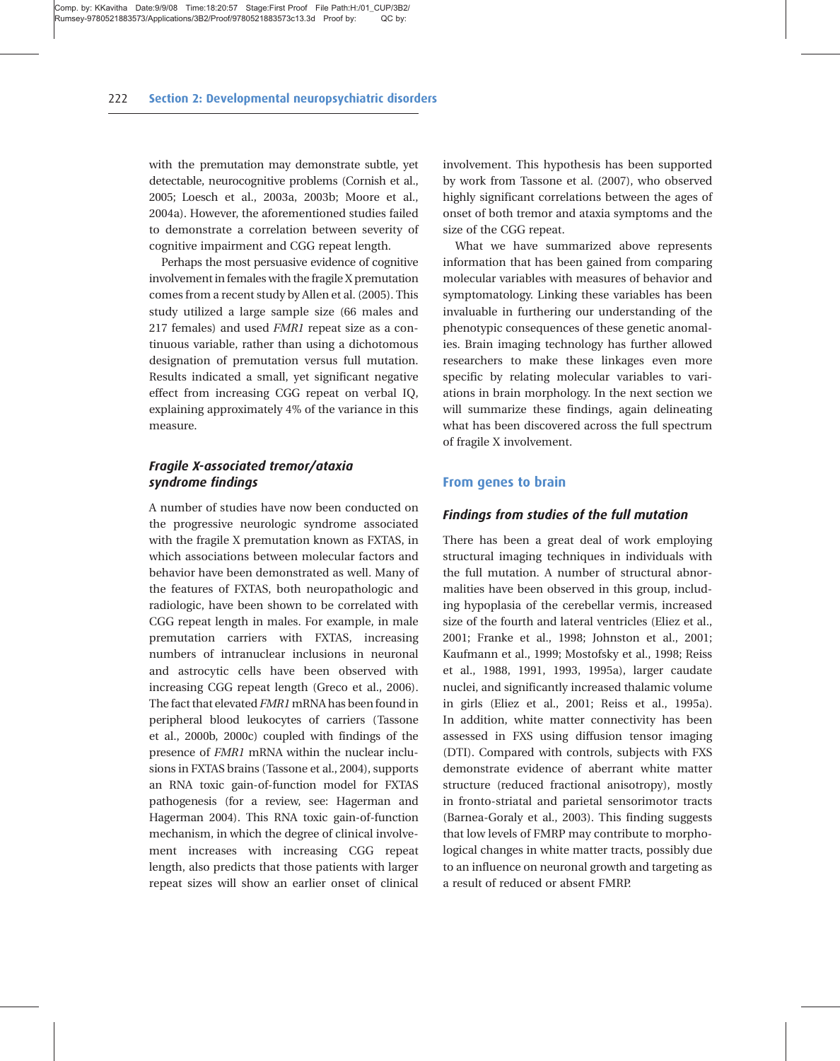with the premutation may demonstrate subtle, yet detectable, neurocognitive problems (Cornish et al., 2005; Loesch et al., 2003a, 2003b; Moore et al., 2004a). However, the aforementioned studies failed to demonstrate a correlation between severity of cognitive impairment and CGG repeat length.

Perhaps the most persuasive evidence of cognitive involvement in females with the fragile X premutation comes from a recent study by Allen et al. (2005). This study utilized a large sample size (66 males and 217 females) and used FMR1 repeat size as a continuous variable, rather than using a dichotomous designation of premutation versus full mutation. Results indicated a small, yet significant negative effect from increasing CGG repeat on verbal IQ, explaining approximately 4% of the variance in this measure.

# Fragile X-associated tremor/ataxia syndrome findings

A number of studies have now been conducted on the progressive neurologic syndrome associated with the fragile X premutation known as FXTAS, in which associations between molecular factors and behavior have been demonstrated as well. Many of the features of FXTAS, both neuropathologic and radiologic, have been shown to be correlated with CGG repeat length in males. For example, in male premutation carriers with FXTAS, increasing numbers of intranuclear inclusions in neuronal and astrocytic cells have been observed with increasing CGG repeat length (Greco et al., 2006). The fact that elevated FMR1 mRNA has been found in peripheral blood leukocytes of carriers (Tassone et al., 2000b, 2000c) coupled with findings of the presence of FMR1 mRNA within the nuclear inclusions in FXTAS brains (Tassone et al., 2004), supports an RNA toxic gain-of-function model for FXTAS pathogenesis (for a review, see: Hagerman and Hagerman 2004). This RNA toxic gain-of-function mechanism, in which the degree of clinical involvement increases with increasing CGG repeat length, also predicts that those patients with larger repeat sizes will show an earlier onset of clinical

involvement. This hypothesis has been supported by work from Tassone et al. (2007), who observed highly significant correlations between the ages of onset of both tremor and ataxia symptoms and the size of the CGG repeat.

What we have summarized above represents information that has been gained from comparing molecular variables with measures of behavior and symptomatology. Linking these variables has been invaluable in furthering our understanding of the phenotypic consequences of these genetic anomalies. Brain imaging technology has further allowed researchers to make these linkages even more specific by relating molecular variables to variations in brain morphology. In the next section we will summarize these findings, again delineating what has been discovered across the full spectrum of fragile X involvement.

### From genes to brain

#### Findings from studies of the full mutation

There has been a great deal of work employing structural imaging techniques in individuals with the full mutation. A number of structural abnormalities have been observed in this group, including hypoplasia of the cerebellar vermis, increased size of the fourth and lateral ventricles (Eliez et al., 2001; Franke et al., 1998; Johnston et al., 2001; Kaufmann et al., 1999; Mostofsky et al., 1998; Reiss et al., 1988, 1991, 1993, 1995a), larger caudate nuclei, and significantly increased thalamic volume in girls (Eliez et al., 2001; Reiss et al., 1995a). In addition, white matter connectivity has been assessed in FXS using diffusion tensor imaging (DTI). Compared with controls, subjects with FXS demonstrate evidence of aberrant white matter structure (reduced fractional anisotropy), mostly in fronto-striatal and parietal sensorimotor tracts (Barnea-Goraly et al., 2003). This finding suggests that low levels of FMRP may contribute to morphological changes in white matter tracts, possibly due to an influence on neuronal growth and targeting as a result of reduced or absent FMRP.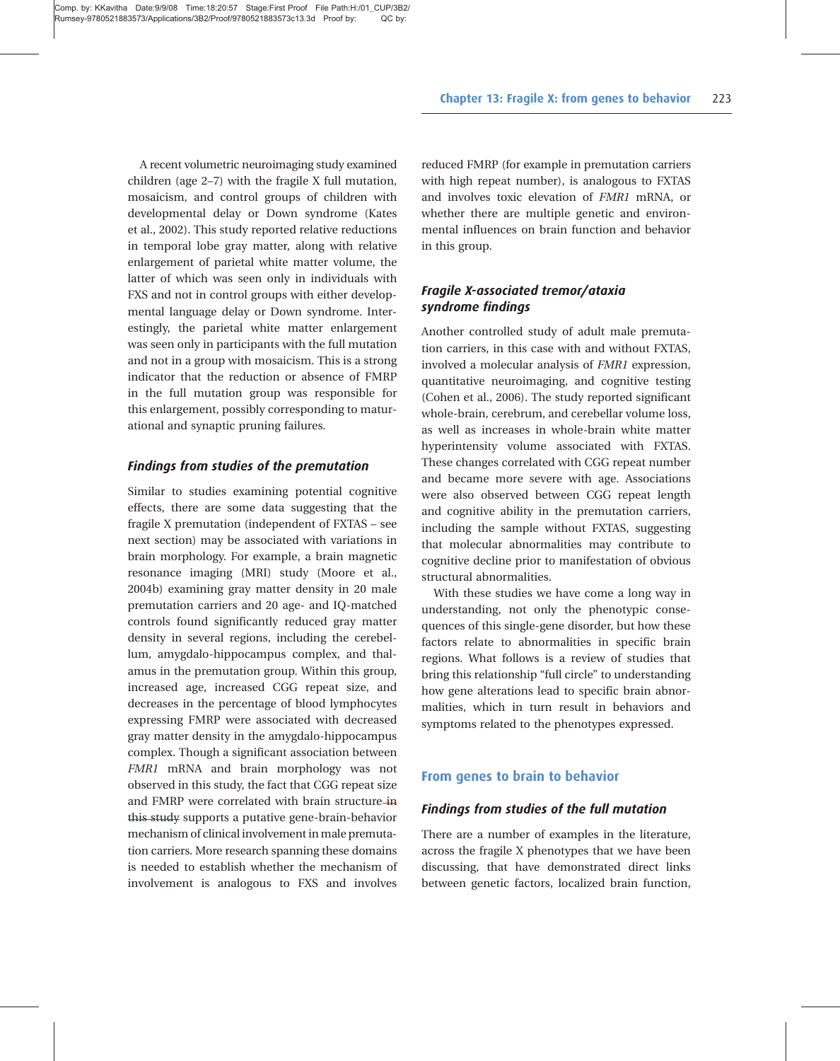A recent volumetric neuroimaging study examined children (age 2–7) with the fragile X full mutation, mosaicism, and control groups of children with developmental delay or Down syndrome (Kates et al., 2002). This study reported relative reductions in temporal lobe gray matter, along with relative enlargement of parietal white matter volume, the latter of which was seen only in individuals with FXS and not in control groups with either developmental language delay or Down syndrome. Interestingly, the parietal white matter enlargement was seen only in participants with the full mutation and not in a group with mosaicism. This is a strong indicator that the reduction or absence of FMRP in the full mutation group was responsible for this enlargement, possibly corresponding to maturational and synaptic pruning failures.

### Findings from studies of the premutation

Similar to studies examining potential cognitive effects, there are some data suggesting that the fragile X premutation (independent of FXTAS – see next section) may be associated with variations in brain morphology. For example, a brain magnetic resonance imaging (MRI) study (Moore et al., 2004b) examining gray matter density in 20 male premutation carriers and 20 age- and IQ-matched controls found significantly reduced gray matter density in several regions, including the cerebellum, amygdalo-hippocampus complex, and thalamus in the premutation group. Within this group, increased age, increased CGG repeat size, and decreases in the percentage of blood lymphocytes expressing FMRP were associated with decreased gray matter density in the amygdalo-hippocampus complex. Though a significant association between FMR1 mRNA and brain morphology was not observed in this study, the fact that CGG repeat size and FMRP were correlated with brain structure-in this study supports a putative gene-brain-behavior mechanism of clinical involvement in male premutation carriers. More research spanning these domains is needed to establish whether the mechanism of involvement is analogous to FXS and involves

reduced FMRP (for example in premutation carriers with high repeat number), is analogous to FXTAS and involves toxic elevation of FMR1 mRNA, or whether there are multiple genetic and environmental influences on brain function and behavior in this group.

# Fragile X-associated tremor/ataxia syndrome findings

Another controlled study of adult male premutation carriers, in this case with and without FXTAS, involved a molecular analysis of FMR1 expression, quantitative neuroimaging, and cognitive testing (Cohen et al., 2006). The study reported significant whole-brain, cerebrum, and cerebellar volume loss, as well as increases in whole-brain white matter hyperintensity volume associated with FXTAS. These changes correlated with CGG repeat number and became more severe with age. Associations were also observed between CGG repeat length and cognitive ability in the premutation carriers, including the sample without FXTAS, suggesting that molecular abnormalities may contribute to cognitive decline prior to manifestation of obvious structural abnormalities.

With these studies we have come a long way in understanding, not only the phenotypic consequences of this single-gene disorder, but how these factors relate to abnormalities in specific brain regions. What follows is a review of studies that bring this relationship "full circle" to understanding how gene alterations lead to specific brain abnormalities, which in turn result in behaviors and symptoms related to the phenotypes expressed.

### From genes to brain to behavior

## Findings from studies of the full mutation

There are a number of examples in the literature, across the fragile X phenotypes that we have been discussing, that have demonstrated direct links between genetic factors, localized brain function,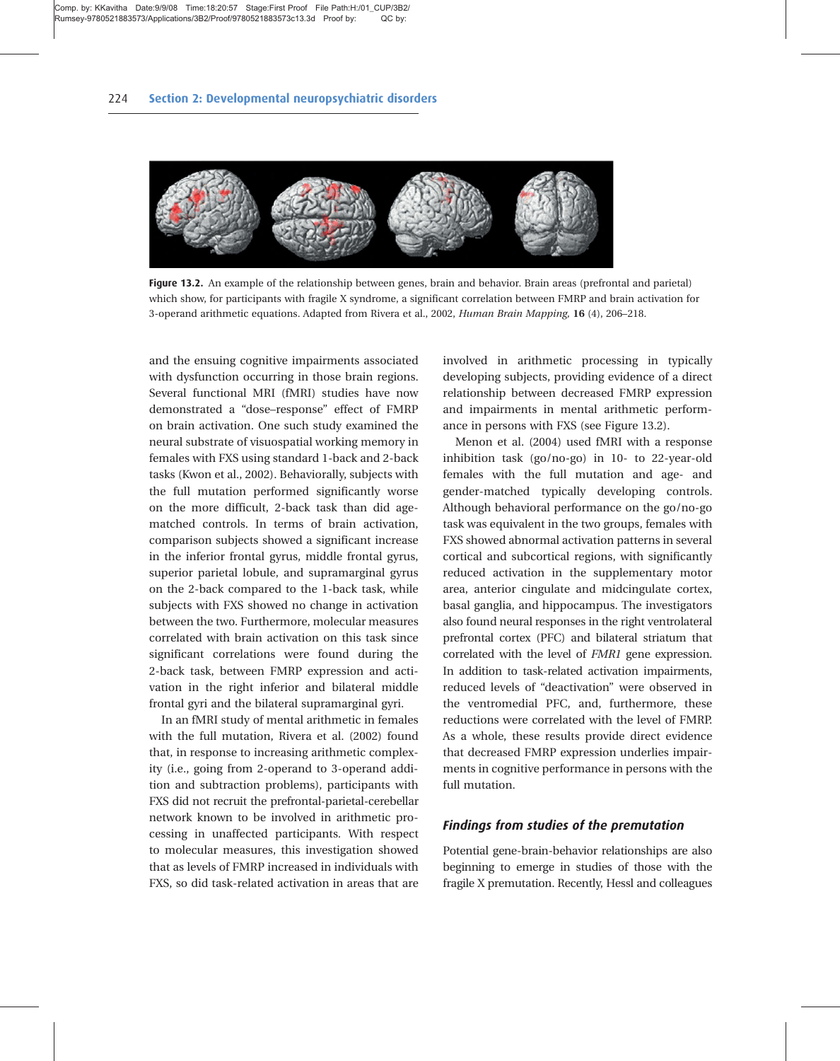

Figure 13.2. An example of the relationship between genes, brain and behavior. Brain areas (prefrontal and parietal) which show, for participants with fragile X syndrome, a significant correlation between FMRP and brain activation for 3-operand arithmetic equations. Adapted from Rivera et al., 2002, Human Brain Mapping, 16 (4), 206–218.

and the ensuing cognitive impairments associated with dysfunction occurring in those brain regions. Several functional MRI (fMRI) studies have now demonstrated a "dose–response" effect of FMRP on brain activation. One such study examined the neural substrate of visuospatial working memory in females with FXS using standard 1-back and 2-back tasks (Kwon et al., 2002). Behaviorally, subjects with the full mutation performed significantly worse on the more difficult, 2-back task than did agematched controls. In terms of brain activation, comparison subjects showed a significant increase in the inferior frontal gyrus, middle frontal gyrus, superior parietal lobule, and supramarginal gyrus on the 2-back compared to the 1-back task, while subjects with FXS showed no change in activation between the two. Furthermore, molecular measures correlated with brain activation on this task since significant correlations were found during the 2-back task, between FMRP expression and activation in the right inferior and bilateral middle frontal gyri and the bilateral supramarginal gyri.

In an fMRI study of mental arithmetic in females with the full mutation, Rivera et al. (2002) found that, in response to increasing arithmetic complexity (i.e., going from 2-operand to 3-operand addition and subtraction problems), participants with FXS did not recruit the prefrontal-parietal-cerebellar network known to be involved in arithmetic processing in unaffected participants. With respect to molecular measures, this investigation showed that as levels of FMRP increased in individuals with FXS, so did task-related activation in areas that are involved in arithmetic processing in typically developing subjects, providing evidence of a direct relationship between decreased FMRP expression and impairments in mental arithmetic performance in persons with FXS (see Figure 13.2).

Menon et al. (2004) used fMRI with a response inhibition task (go/no-go) in 10- to 22-year-old females with the full mutation and age- and gender-matched typically developing controls. Although behavioral performance on the go/no-go task was equivalent in the two groups, females with FXS showed abnormal activation patterns in several cortical and subcortical regions, with significantly reduced activation in the supplementary motor area, anterior cingulate and midcingulate cortex, basal ganglia, and hippocampus. The investigators also found neural responses in the right ventrolateral prefrontal cortex (PFC) and bilateral striatum that correlated with the level of FMR1 gene expression. In addition to task-related activation impairments, reduced levels of "deactivation" were observed in the ventromedial PFC, and, furthermore, these reductions were correlated with the level of FMRP. As a whole, these results provide direct evidence that decreased FMRP expression underlies impairments in cognitive performance in persons with the full mutation.

## Findings from studies of the premutation

Potential gene-brain-behavior relationships are also beginning to emerge in studies of those with the fragile X premutation. Recently, Hessl and colleagues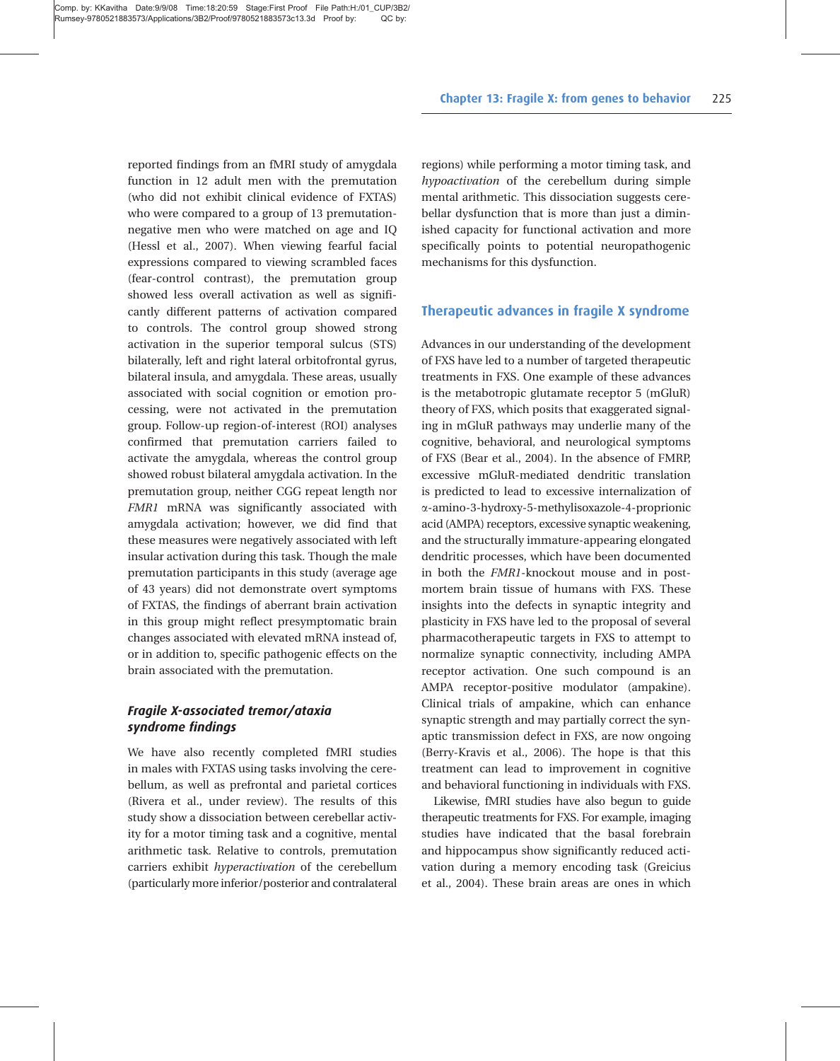reported findings from an fMRI study of amygdala function in 12 adult men with the premutation (who did not exhibit clinical evidence of FXTAS) who were compared to a group of 13 premutationnegative men who were matched on age and IQ (Hessl et al., 2007). When viewing fearful facial expressions compared to viewing scrambled faces (fear-control contrast), the premutation group showed less overall activation as well as significantly different patterns of activation compared to controls. The control group showed strong activation in the superior temporal sulcus (STS) bilaterally, left and right lateral orbitofrontal gyrus, bilateral insula, and amygdala. These areas, usually associated with social cognition or emotion processing, were not activated in the premutation group. Follow-up region-of-interest (ROI) analyses confirmed that premutation carriers failed to activate the amygdala, whereas the control group showed robust bilateral amygdala activation. In the premutation group, neither CGG repeat length nor FMR1 mRNA was significantly associated with amygdala activation; however, we did find that these measures were negatively associated with left insular activation during this task. Though the male premutation participants in this study (average age of 43 years) did not demonstrate overt symptoms of FXTAS, the findings of aberrant brain activation in this group might reflect presymptomatic brain changes associated with elevated mRNA instead of, or in addition to, specific pathogenic effects on the brain associated with the premutation.

# Fragile X-associated tremor/ataxia syndrome findings

We have also recently completed fMRI studies in males with FXTAS using tasks involving the cerebellum, as well as prefrontal and parietal cortices (Rivera et al., under review). The results of this study show a dissociation between cerebellar activity for a motor timing task and a cognitive, mental arithmetic task. Relative to controls, premutation carriers exhibit hyperactivation of the cerebellum (particularly more inferior/posterior and contralateral regions) while performing a motor timing task, and hypoactivation of the cerebellum during simple mental arithmetic. This dissociation suggests cerebellar dysfunction that is more than just a diminished capacity for functional activation and more specifically points to potential neuropathogenic mechanisms for this dysfunction.

# Therapeutic advances in fragile X syndrome

Advances in our understanding of the development of FXS have led to a number of targeted therapeutic treatments in FXS. One example of these advances is the metabotropic glutamate receptor 5 (mGluR) theory of FXS, which posits that exaggerated signaling in mGluR pathways may underlie many of the cognitive, behavioral, and neurological symptoms of FXS (Bear et al., 2004). In the absence of FMRP, excessive mGluR-mediated dendritic translation is predicted to lead to excessive internalization of *a*-amino-3-hydroxy-5-methylisoxazole-4-proprionic acid (AMPA) receptors, excessive synaptic weakening, and the structurally immature-appearing elongated dendritic processes, which have been documented in both the FMR1-knockout mouse and in postmortem brain tissue of humans with FXS. These insights into the defects in synaptic integrity and plasticity in FXS have led to the proposal of several pharmacotherapeutic targets in FXS to attempt to normalize synaptic connectivity, including AMPA receptor activation. One such compound is an AMPA receptor-positive modulator (ampakine). Clinical trials of ampakine, which can enhance synaptic strength and may partially correct the synaptic transmission defect in FXS, are now ongoing (Berry-Kravis et al., 2006). The hope is that this treatment can lead to improvement in cognitive and behavioral functioning in individuals with FXS.

Likewise, fMRI studies have also begun to guide therapeutic treatments for FXS. For example, imaging studies have indicated that the basal forebrain and hippocampus show significantly reduced activation during a memory encoding task (Greicius et al., 2004). These brain areas are ones in which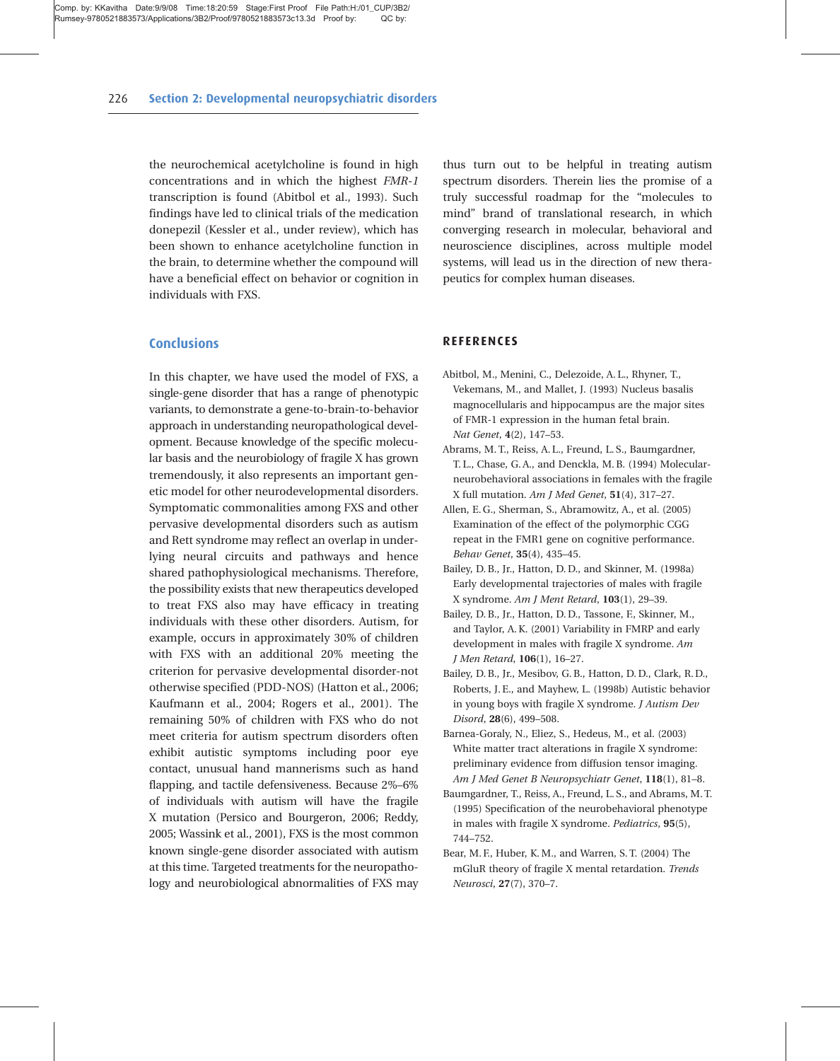the neurochemical acetylcholine is found in high concentrations and in which the highest FMR-1 transcription is found (Abitbol et al., 1993). Such findings have led to clinical trials of the medication donepezil (Kessler et al., under review), which has been shown to enhance acetylcholine function in the brain, to determine whether the compound will have a beneficial effect on behavior or cognition in individuals with FXS.

# **Conclusions**

In this chapter, we have used the model of FXS, a single-gene disorder that has a range of phenotypic variants, to demonstrate a gene-to-brain-to-behavior approach in understanding neuropathological development. Because knowledge of the specific molecular basis and the neurobiology of fragile X has grown tremendously, it also represents an important genetic model for other neurodevelopmental disorders. Symptomatic commonalities among FXS and other pervasive developmental disorders such as autism and Rett syndrome may reflect an overlap in underlying neural circuits and pathways and hence shared pathophysiological mechanisms. Therefore, the possibility exists that new therapeutics developed to treat FXS also may have efficacy in treating individuals with these other disorders. Autism, for example, occurs in approximately 30% of children with FXS with an additional 20% meeting the criterion for pervasive developmental disorder-not otherwise specified (PDD-NOS) (Hatton et al., 2006; Kaufmann et al., 2004; Rogers et al., 2001). The remaining 50% of children with FXS who do not meet criteria for autism spectrum disorders often exhibit autistic symptoms including poor eye contact, unusual hand mannerisms such as hand flapping, and tactile defensiveness. Because 2%–6% of individuals with autism will have the fragile X mutation (Persico and Bourgeron, 2006; Reddy, 2005; Wassink et al., 2001), FXS is the most common known single-gene disorder associated with autism at this time. Targeted treatments for the neuropathology and neurobiological abnormalities of FXS may thus turn out to be helpful in treating autism spectrum disorders. Therein lies the promise of a truly successful roadmap for the "molecules to mind" brand of translational research, in which converging research in molecular, behavioral and neuroscience disciplines, across multiple model systems, will lead us in the direction of new therapeutics for complex human diseases.

### **REFERENCES**

- Abitbol, M., Menini, C., Delezoide, A. L., Rhyner, T., Vekemans, M., and Mallet, J. (1993) Nucleus basalis magnocellularis and hippocampus are the major sites of FMR-1 expression in the human fetal brain. Nat Genet, 4(2), 147–53.
- Abrams, M. T., Reiss, A. L., Freund, L. S., Baumgardner, T. L., Chase, G. A., and Denckla, M. B. (1994) Molecularneurobehavioral associations in females with the fragile X full mutation. Am J Med Genet, 51(4), 317–27.
- Allen, E. G., Sherman, S., Abramowitz, A., et al. (2005) Examination of the effect of the polymorphic CGG repeat in the FMR1 gene on cognitive performance. Behav Genet, 35(4), 435–45.
- Bailey, D. B., Jr., Hatton, D. D., and Skinner, M. (1998a) Early developmental trajectories of males with fragile X syndrome. Am J Ment Retard, 103(1), 29–39.
- Bailey, D. B., Jr., Hatton, D. D., Tassone, F., Skinner, M., and Taylor, A. K. (2001) Variability in FMRP and early development in males with fragile X syndrome. Am J Men Retard, 106(1), 16–27.
- Bailey, D. B., Jr., Mesibov, G. B., Hatton, D. D., Clark, R. D., Roberts, J. E., and Mayhew, L. (1998b) Autistic behavior in young boys with fragile X syndrome. J Autism Dev Disord, 28(6), 499–508.
- Barnea-Goraly, N., Eliez, S., Hedeus, M., et al. (2003) White matter tract alterations in fragile X syndrome: preliminary evidence from diffusion tensor imaging. Am J Med Genet B Neuropsychiatr Genet, 118(1), 81–8.
- Baumgardner, T., Reiss, A., Freund, L. S., and Abrams, M. T. (1995) Specification of the neurobehavioral phenotype in males with fragile X syndrome. Pediatrics, 95(5), 744–752.
- Bear, M. F., Huber, K. M., and Warren, S. T. (2004) The mGluR theory of fragile X mental retardation. Trends Neurosci, 27(7), 370–7.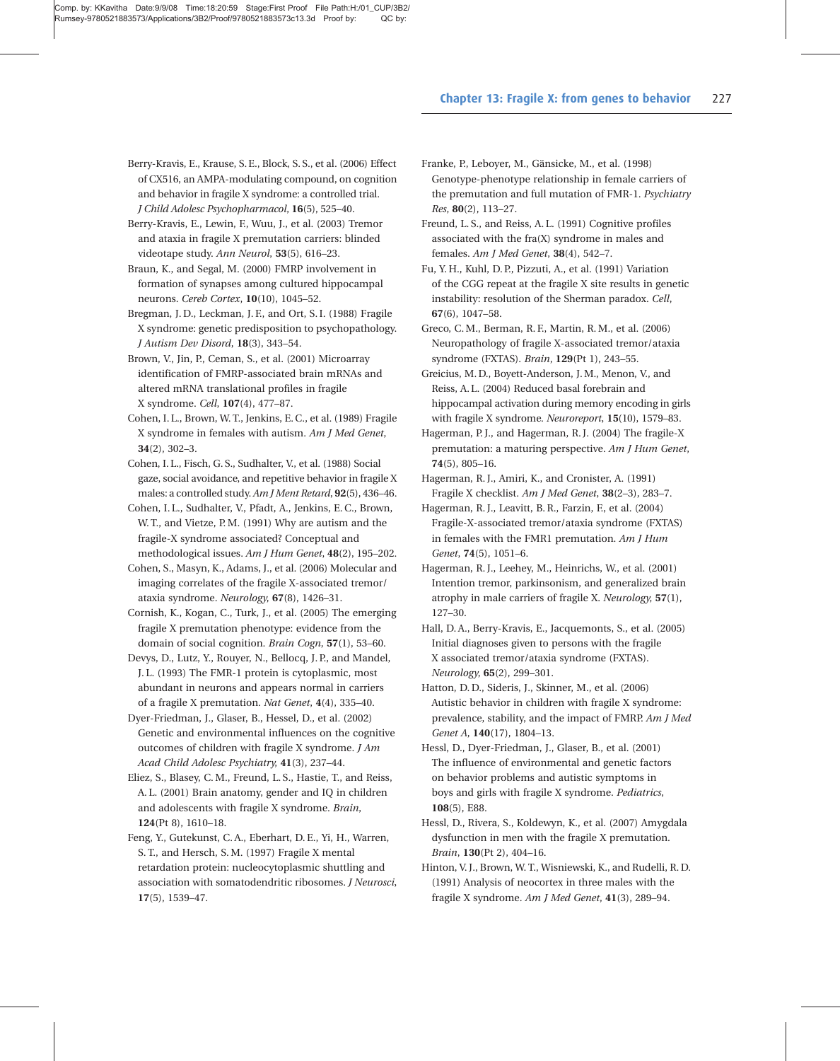Berry-Kravis, E., Krause, S. E., Block, S. S., et al. (2006) Effect of CX516, an AMPA-modulating compound, on cognition and behavior in fragile X syndrome: a controlled trial. J Child Adolesc Psychopharmacol, 16(5), 525–40.

Berry-Kravis, E., Lewin, F., Wuu, J., et al. (2003) Tremor and ataxia in fragile X premutation carriers: blinded videotape study. Ann Neurol, 53(5), 616–23.

Braun, K., and Segal, M. (2000) FMRP involvement in formation of synapses among cultured hippocampal neurons. Cereb Cortex, 10(10), 1045–52.

Bregman, J. D., Leckman, J. F., and Ort, S. I. (1988) Fragile X syndrome: genetic predisposition to psychopathology. J Autism Dev Disord, 18(3), 343–54.

Brown, V., Jin, P., Ceman, S., et al. (2001) Microarray identification of FMRP-associated brain mRNAs and altered mRNA translational profiles in fragile X syndrome. Cell, 107(4), 477–87.

Cohen, I. L., Brown, W. T., Jenkins, E. C., et al. (1989) Fragile X syndrome in females with autism. Am J Med Genet, 34(2), 302–3.

Cohen, I. L., Fisch, G. S., Sudhalter, V., et al. (1988) Social gaze, social avoidance, and repetitive behavior in fragile X males: a controlled study. Am J Ment Retard, 92(5), 436–46.

Cohen, I. L., Sudhalter, V., Pfadt, A., Jenkins, E. C., Brown, W. T., and Vietze, P. M. (1991) Why are autism and the fragile-X syndrome associated? Conceptual and methodological issues. Am J Hum Genet, 48(2), 195–202.

Cohen, S., Masyn, K., Adams, J., et al. (2006) Molecular and imaging correlates of the fragile X-associated tremor/ ataxia syndrome. Neurology, 67(8), 1426–31.

Cornish, K., Kogan, C., Turk, J., et al. (2005) The emerging fragile X premutation phenotype: evidence from the domain of social cognition. Brain Cogn, 57(1), 53–60.

Devys, D., Lutz, Y., Rouyer, N., Bellocq, J. P., and Mandel, J. L. (1993) The FMR-1 protein is cytoplasmic, most abundant in neurons and appears normal in carriers of a fragile X premutation. Nat Genet, 4(4), 335–40.

Dyer-Friedman, J., Glaser, B., Hessel, D., et al. (2002) Genetic and environmental influences on the cognitive outcomes of children with fragile X syndrome. J Am Acad Child Adolesc Psychiatry, 41(3), 237–44.

Eliez, S., Blasey, C. M., Freund, L. S., Hastie, T., and Reiss, A. L. (2001) Brain anatomy, gender and IQ in children and adolescents with fragile X syndrome. Brain, 124(Pt 8), 1610–18.

Feng, Y., Gutekunst, C. A., Eberhart, D. E., Yi, H., Warren, S. T., and Hersch, S. M. (1997) Fragile X mental retardation protein: nucleocytoplasmic shuttling and association with somatodendritic ribosomes. J Neurosci, 17(5), 1539–47.

Franke, P., Leboyer, M., Gänsicke, M., et al. (1998) Genotype-phenotype relationship in female carriers of the premutation and full mutation of FMR-1. Psychiatry Res, 80(2), 113–27.

Freund, L. S., and Reiss, A. L. (1991) Cognitive profiles associated with the fra(X) syndrome in males and females. Am J Med Genet, 38(4), 542–7.

Fu, Y. H., Kuhl, D. P., Pizzuti, A., et al. (1991) Variation of the CGG repeat at the fragile X site results in genetic instability: resolution of the Sherman paradox. Cell, 67(6), 1047–58.

Greco, C. M., Berman, R. F., Martin, R. M., et al. (2006) Neuropathology of fragile X-associated tremor/ataxia syndrome (FXTAS). Brain, 129(Pt 1), 243–55.

Greicius, M. D., Boyett-Anderson, J.M., Menon, V., and Reiss, A. L. (2004) Reduced basal forebrain and hippocampal activation during memory encoding in girls with fragile X syndrome. Neuroreport, 15(10), 1579–83.

Hagerman, P.J., and Hagerman, R.J. (2004) The fragile-X premutation: a maturing perspective. Am J Hum Genet, 74(5), 805–16.

Hagerman, R. J., Amiri, K., and Cronister, A. (1991) Fragile X checklist. Am J Med Genet, 38(2–3), 283–7.

Hagerman, R. J., Leavitt, B. R., Farzin, F., et al. (2004) Fragile-X-associated tremor/ataxia syndrome (FXTAS) in females with the FMR1 premutation. Am J Hum Genet, 74(5), 1051–6.

Hagerman, R. J., Leehey, M., Heinrichs, W., et al. (2001) Intention tremor, parkinsonism, and generalized brain atrophy in male carriers of fragile X. Neurology, 57(1), 127–30.

Hall, D. A., Berry-Kravis, E., Jacquemonts, S., et al. (2005) Initial diagnoses given to persons with the fragile X associated tremor/ataxia syndrome (FXTAS). Neurology, 65(2), 299–301.

Hatton, D. D., Sideris, J., Skinner, M., et al. (2006) Autistic behavior in children with fragile X syndrome: prevalence, stability, and the impact of FMRP. Am J Med Genet A, 140(17), 1804–13.

Hessl, D., Dyer-Friedman, J., Glaser, B., et al. (2001) The influence of environmental and genetic factors on behavior problems and autistic symptoms in boys and girls with fragile X syndrome. Pediatrics, 108(5), E88.

Hessl, D., Rivera, S., Koldewyn, K., et al. (2007) Amygdala dysfunction in men with the fragile X premutation. Brain, 130(Pt 2), 404–16.

Hinton, V. J., Brown, W. T., Wisniewski, K., and Rudelli, R. D. (1991) Analysis of neocortex in three males with the fragile X syndrome. Am J Med Genet, 41(3), 289–94.

# Chapter 13: Fragile X: from genes to behavior 227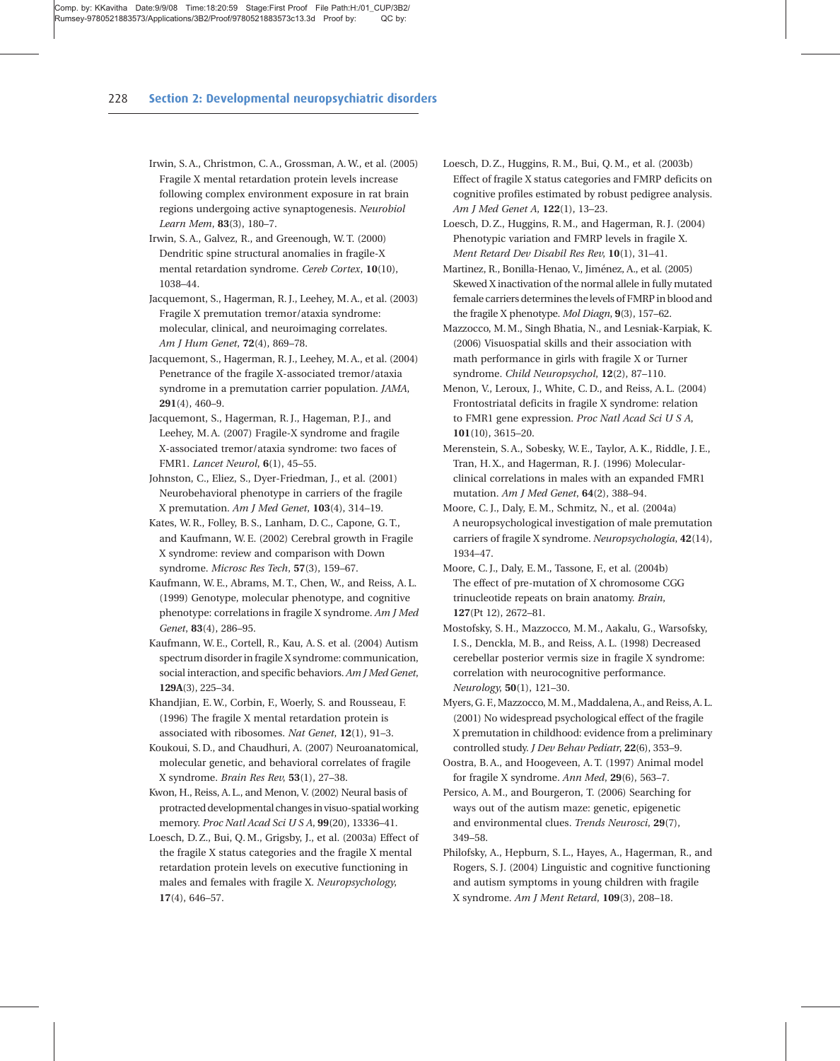# 228 Section 2: Developmental neuropsychiatric disorders

- Irwin, S. A., Christmon, C. A., Grossman, A. W., et al. (2005) Fragile X mental retardation protein levels increase following complex environment exposure in rat brain regions undergoing active synaptogenesis. Neurobiol Learn Mem, 83(3), 180–7.
- Irwin, S. A., Galvez, R., and Greenough, W. T. (2000) Dendritic spine structural anomalies in fragile-X mental retardation syndrome. Cereb Cortex, 10(10), 1038–44.
- Jacquemont, S., Hagerman, R. J., Leehey, M. A., et al. (2003) Fragile X premutation tremor/ataxia syndrome: molecular, clinical, and neuroimaging correlates. Am J Hum Genet, 72(4), 869–78.
- Jacquemont, S., Hagerman, R. J., Leehey, M. A., et al. (2004) Penetrance of the fragile X-associated tremor/ataxia syndrome in a premutation carrier population. JAMA, 291(4), 460–9.
- Jacquemont, S., Hagerman, R. J., Hageman, P. J., and Leehey, M. A. (2007) Fragile-X syndrome and fragile X-associated tremor/ataxia syndrome: two faces of FMR1. Lancet Neurol, 6(1), 45–55.
- Johnston, C., Eliez, S., Dyer-Friedman, J., et al. (2001) Neurobehavioral phenotype in carriers of the fragile X premutation. Am J Med Genet, 103(4), 314–19.
- Kates, W. R., Folley, B. S., Lanham, D. C., Capone, G. T., and Kaufmann, W. E. (2002) Cerebral growth in Fragile X syndrome: review and comparison with Down syndrome. Microsc Res Tech, 57(3), 159–67.
- Kaufmann, W. E., Abrams, M. T., Chen, W., and Reiss, A. L. (1999) Genotype, molecular phenotype, and cognitive phenotype: correlations in fragile X syndrome. Am J Med Genet, 83(4), 286–95.
- Kaufmann, W. E., Cortell, R., Kau, A. S. et al. (2004) Autism spectrum disorder in fragile X syndrome: communication, social interaction, and specific behaviors. Am J Med Genet, 129A(3), 225–34.
- Khandjian, E. W., Corbin, F., Woerly, S. and Rousseau, F. (1996) The fragile X mental retardation protein is associated with ribosomes. Nat Genet, 12(1), 91–3.
- Koukoui, S. D., and Chaudhuri, A. (2007) Neuroanatomical, molecular genetic, and behavioral correlates of fragile X syndrome. Brain Res Rev, 53(1), 27–38.
- Kwon, H., Reiss, A. L., and Menon, V. (2002) Neural basis of protracted developmental changesin visuo-spatial working memory. Proc Natl Acad Sci U S A, 99(20), 13336–41.
- Loesch, D. Z., Bui, Q. M., Grigsby, J., et al. (2003a) Effect of the fragile X status categories and the fragile X mental retardation protein levels on executive functioning in males and females with fragile X. Neuropsychology, 17(4), 646–57.
- Loesch, D. Z., Huggins, R. M., Bui, Q. M., et al. (2003b) Effect of fragile X status categories and FMRP deficits on cognitive profiles estimated by robust pedigree analysis. Am J Med Genet A, 122(1), 13–23.
- Loesch, D. Z., Huggins, R. M., and Hagerman, R. J. (2004) Phenotypic variation and FMRP levels in fragile X. Ment Retard Dev Disabil Res Rev, 10(1), 31–41.
- Martinez, R., Bonilla-Henao, V., Jiménez, A., et al. (2005) Skewed X inactivation of the normal allele in fully mutated female carriers determines the levels of FMRP in blood and the fragile X phenotype. Mol Diagn, 9(3), 157–62.
- Mazzocco, M.M., Singh Bhatia, N., and Lesniak-Karpiak, K. (2006) Visuospatial skills and their association with math performance in girls with fragile X or Turner syndrome. Child Neuropsychol, 12(2), 87–110.
- Menon, V., Leroux, J., White, C. D., and Reiss, A. L. (2004) Frontostriatal deficits in fragile X syndrome: relation to FMR1 gene expression. Proc Natl Acad Sci U S A, 101(10), 3615–20.
- Merenstein, S. A., Sobesky, W. E., Taylor, A. K., Riddle, J. E., Tran, H. X., and Hagerman, R. J. (1996) Molecularclinical correlations in males with an expanded FMR1 mutation. Am J Med Genet, 64(2), 388–94.
- Moore, C. J., Daly, E. M., Schmitz, N., et al. (2004a) A neuropsychological investigation of male premutation carriers of fragile X syndrome. Neuropsychologia, 42(14), 1934–47.
- Moore, C. J., Daly, E.M., Tassone, F., et al. (2004b) The effect of pre-mutation of X chromosome CGG trinucleotide repeats on brain anatomy. Brain, 127(Pt 12), 2672–81.
- Mostofsky, S. H., Mazzocco, M. M., Aakalu, G., Warsofsky, I. S., Denckla, M. B., and Reiss, A. L. (1998) Decreased cerebellar posterior vermis size in fragile X syndrome: correlation with neurocognitive performance. Neurology, 50(1), 121–30.
- Myers, G. F., Mazzocco, M.M., Maddalena, A., and Reiss, A. L. (2001) No widespread psychological effect of the fragile X premutation in childhood: evidence from a preliminary controlled study. J Dev Behav Pediatr, 22(6), 353–9.
- Oostra, B. A., and Hoogeveen, A. T. (1997) Animal model for fragile X syndrome. Ann Med, 29(6), 563–7.
- Persico, A. M., and Bourgeron, T. (2006) Searching for ways out of the autism maze: genetic, epigenetic and environmental clues. Trends Neurosci, 29(7), 349–58.
- Philofsky, A., Hepburn, S. L., Hayes, A., Hagerman, R., and Rogers, S. J. (2004) Linguistic and cognitive functioning and autism symptoms in young children with fragile X syndrome. Am J Ment Retard, 109(3), 208–18.